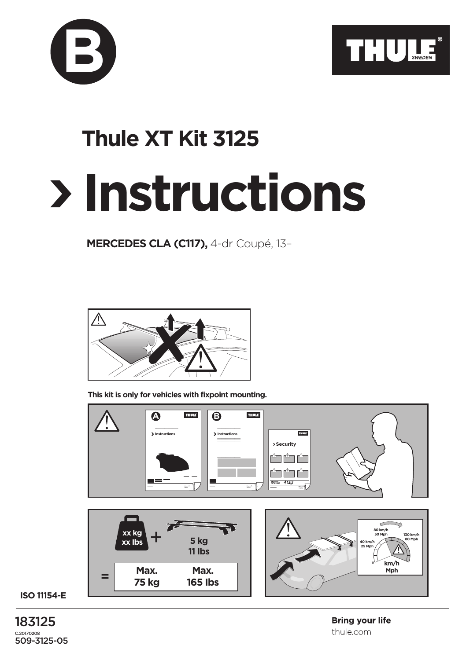



## **Instructions Thule XT Kit 3125**

**MERCEDES CLA (C117),** 4-dr Coupé, 13–



**This kit is only for vehicles with fixpoint mounting.**



**ISO 11154-E**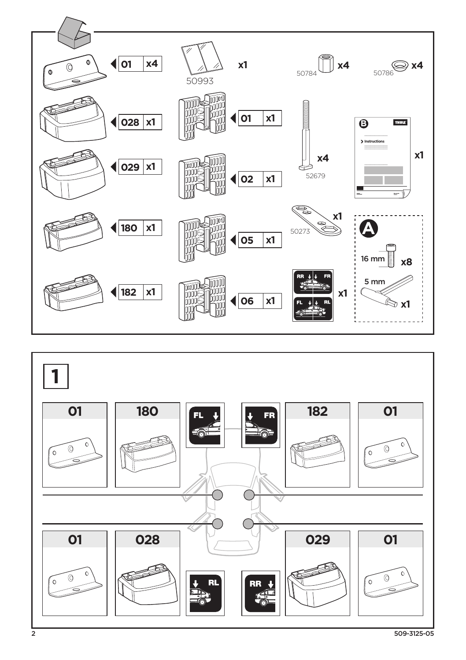

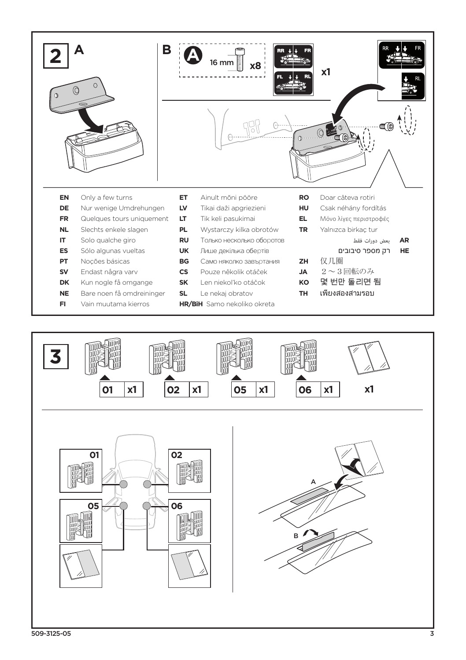

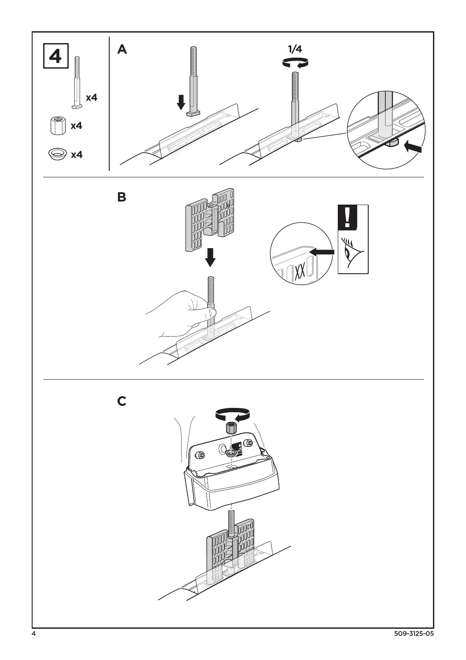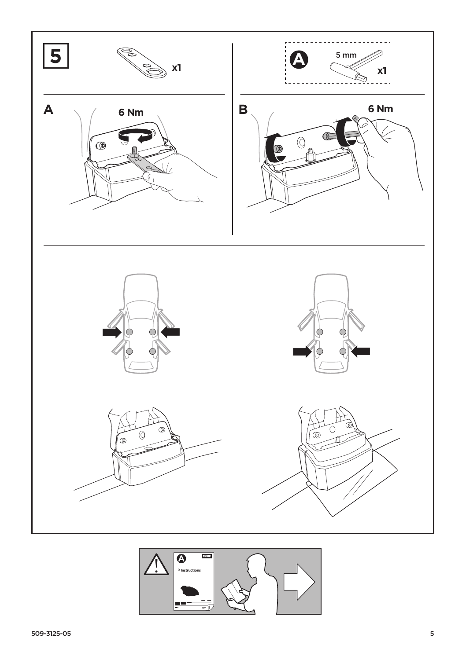